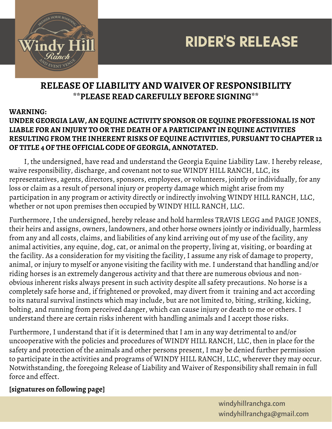

# RIDER'S RELEASE

### **RELEASE OF LIABILITY AND WAIVER OF RESPONSIBILITY \*\*PLEASE READ CAREFULLY BEFORE SIGNING\*\***

#### **WARNING:**

#### **UNDER GEORGIA LAW, AN EQUINE ACTIVITY SPONSOR OR EQUINE PROFESSIONAL IS NOT LIABLE FOR AN INJURY TO OR THE DEATH OF A PARTICIPANT IN EQUINE ACTIVITIES RESULTING FROM THE INHERENT RISKS OF EQUINE ACTIVITIES, PURSUANT TO CHAPTER 12 OF TITLE 4 OF THE OFFICIAL CODE OF GEORGIA, ANNOTATED.**

I, the undersigned, have read and understand the Georgia Equine Liability Law. I hereby release, waive responsibility, discharge, and covenant not to sue WINDY HILL RANCH, LLC, its representatives, agents, directors, sponsors, employees, or volunteers, jointly or individually, for any loss or claim as a result of personal injury or property damage which might arise from my participation in any program or activity directly or indirectly involving WINDY HILL RANCH, LLC, whether or not upon premises then occupied by WINDY HILL RANCH, LLC.

Furthermore, I the undersigned, hereby release and hold harmless TRAVIS LEGG and PAIGE JONES, their heirs and assigns, owners, landowners, and other horse owners jointly or individually, harmless from any and all costs, claims, and liabilities of any kind arriving out of my use of the facility, any animal activities, any equine, dog, cat, or animal on the property, living at, visiting, or boarding at the facility. As a consideration for my visiting the facility, I assume any risk of damage to property, animal, or injury to myself or anyone visiting the facility with me. I understand that handling and/or riding horses is an extremely dangerous activity and that there are numerous obvious and nonobvious inherent risks always present in such activity despite all safety precautions. No horse is a completely safe horse and, if frightened or provoked, may divert from it training and act according to its natural survival instincts which may include, but are not limited to, biting, striking, kicking, bolting, and running from perceived danger, which can cause injury or death to me or others. I understand there are certain risks inherent with handling animals and I accept those risks.

Furthermore, I understand that if it is determined that I am in any way detrimental to and/or uncooperative with the policies and procedures of WINDY HILL RANCH, LLC, then in place for the safety and protection of the animals and other persons present, I may be denied further permission to participate in the activities and programs of WINDY HILL RANCH, LLC, wherever they may occur. Notwithstanding, the foregoing Release of Liability and Waiver of Responsibility shall remain in full force and effect.

#### **[signatures on following page]**

windyhillranchga.com windyhillranchga@gmail.com